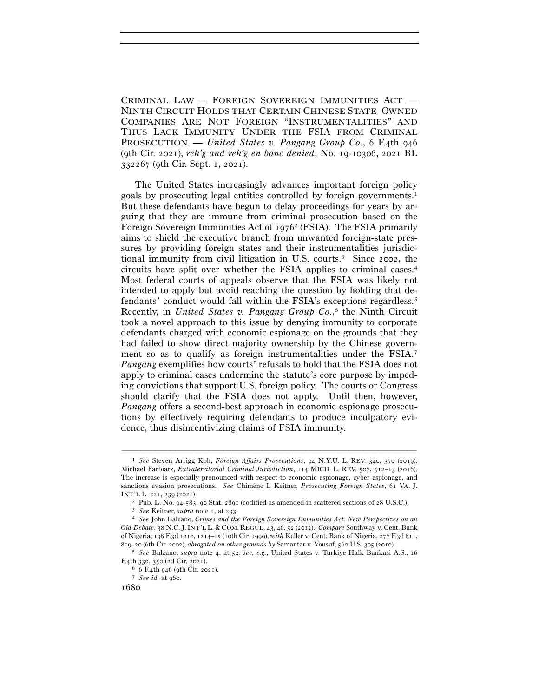CRIMINAL LAW — FOREIGN SOVEREIGN IMMUNITIES ACT — NINTH CIRCUIT HOLDS THAT CERTAIN CHINESE STATE–OWNED COMPANIES ARE NOT FOREIGN "INSTRUMENTALITIES" AND THUS LACK IMMUNITY UNDER THE FSIA FROM CRIMINAL PROSECUTION. — *United States v. Pangang Group Co.*, 6 F.4th 946 (9th Cir. 2021), *reh'g and reh'g en banc denied*, No. 19-10306, 2021 BL 332267 (9th Cir. Sept. 1, 2021).

The United States increasingly advances important foreign policy goals by prosecuting legal entities controlled by foreign governments.1 But these defendants have begun to delay proceedings for years by arguing that they are immune from criminal prosecution based on the Foreign Sovereign Immunities Act of 19762 (FSIA). The FSIA primarily aims to shield the executive branch from unwanted foreign-state pressures by providing foreign states and their instrumentalities jurisdictional immunity from civil litigation in U.S. courts.3 Since 2002, the circuits have split over whether the FSIA applies to criminal cases.4 Most federal courts of appeals observe that the FSIA was likely not intended to apply but avoid reaching the question by holding that defendants' conduct would fall within the FSIA's exceptions regardless.5 Recently, in *United States v. Pangang Group Co.*, 6 the Ninth Circuit took a novel approach to this issue by denying immunity to corporate defendants charged with economic espionage on the grounds that they had failed to show direct majority ownership by the Chinese government so as to qualify as foreign instrumentalities under the FSIA.7 *Pangang* exemplifies how courts' refusals to hold that the FSIA does not apply to criminal cases undermine the statute's core purpose by impeding convictions that support U.S. foreign policy. The courts or Congress should clarify that the FSIA does not apply. Until then, however, *Pangang* offers a second-best approach in economic espionage prosecutions by effectively requiring defendants to produce inculpatory evidence, thus disincentivizing claims of FSIA immunity.

<sup>1</sup> *See* Steven Arrigg Koh, *Foreign Affairs Prosecutions*, 94 N.Y.U. L. REV. 340, 370 (2019); Michael Farbiarz, *Extraterritorial Criminal Jurisdiction*, 114 MICH. L. REV. 507, 512–13 (2016). The increase is especially pronounced with respect to economic espionage, cyber espionage, and sanctions evasion prosecutions. *See* Chimène I. Keitner, *Prosecuting Foreign States*, 61 VA. J. INT'L L. 221, 230 (2021).<br>
<sup>2</sup> Pub. L. No. 94-583, 90 Stat. 2891 (codified as amended in scattered sections of 28 U.S.C.).<br>
<sup>3</sup> See Keitner, *supra* note 1, at 233.<br>
<sup>4</sup> See John Balzano, Crimes and the Foreign Sovereign I

*Old Debate*, 38 N.C. J.INT'L L. & COM. REGUL. 43, 46, 52 (2012). *Compare* Southway v. Cent. Bank of Nigeria, 198 F.3d 1210, 1214–15 (10th Cir. 1999), *with* Keller v. Cent. Bank of Nigeria, 277 F.3d 811,

<sup>819</sup>–20 (6th Cir. 2002), *abrogated on other grounds by* Samantar v. Yousuf, 560 U.S. 305 (<sup>2010</sup>). 5 *See* Balzano, *supra* note 4, at 52; *see, e.g.*, United States v. Turkiye Halk Bankasi A.S., <sup>16</sup> F.4th 336, 350 (2d Cir. 2021).<br><sup>6</sup> 6 F.4th 946 (9th Cir. 2021).

<sup>&</sup>lt;sup>7</sup> *See id.* at 960.<br> $I680$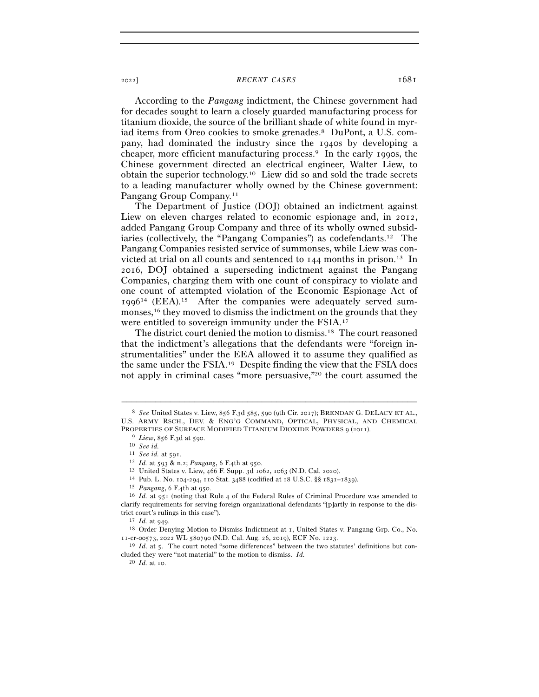According to the *Pangang* indictment, the Chinese government had for decades sought to learn a closely guarded manufacturing process for titanium dioxide, the source of the brilliant shade of white found in myriad items from Oreo cookies to smoke grenades.8 DuPont, a U.S. company, had dominated the industry since the 1940s by developing a cheaper, more efficient manufacturing process.9 In the early 1990s, the Chinese government directed an electrical engineer, Walter Liew, to obtain the superior technology.10 Liew did so and sold the trade secrets to a leading manufacturer wholly owned by the Chinese government: Pangang Group Company.<sup>11</sup>

The Department of Justice (DOJ) obtained an indictment against Liew on eleven charges related to economic espionage and, in 2012, added Pangang Group Company and three of its wholly owned subsidiaries (collectively, the "Pangang Companies") as codefendants.12 The Pangang Companies resisted service of summonses, while Liew was convicted at trial on all counts and sentenced to  $144$  months in prison.<sup>13</sup> In 2016, DOJ obtained a superseding indictment against the Pangang Companies, charging them with one count of conspiracy to violate and one count of attempted violation of the Economic Espionage Act of 199614 (EEA).15 After the companies were adequately served summonses,16 they moved to dismiss the indictment on the grounds that they were entitled to sovereign immunity under the FSIA.17

The district court denied the motion to dismiss.18 The court reasoned that the indictment's allegations that the defendants were "foreign instrumentalities" under the EEA allowed it to assume they qualified as the same under the FSIA.19 Despite finding the view that the FSIA does not apply in criminal cases "more persuasive,"20 the court assumed the

–––––––––––––––––––––––––––––––––––––––––––––––––––––––––––––

<sup>20</sup> *Id.* at 10.

<sup>8</sup> *See* United States v. Liew, 856 F.3d 585, 590 (9th Cir. 2017); BRENDAN G. DELACY ET AL., U.S. ARMY RSCH., DEV. & ENG'G COMMAND, OPTICAL, PHYSICAL, AND CHEMICAL PROPERTIES OF SURFACE MODIFIED TITANIUM DIOXIDE POWDERS 9 (2011).<br>
<sup>9</sup> *Liew*, 856 F.3d at 590.<br>
<sup>10</sup> *See id.*<br>
<sup>11</sup> *See id.* at 591.

<sup>&</sup>lt;sup>12</sup> *Id.* at 593 & n.2; *Pangang*, 6 F.4th at 950.<br><sup>13</sup> United States v. Liew, 466 F. Supp. 3d 1062, 1063 (N.D. Cal. 2020).<br><sup>14</sup> Pub. L. No. 104-294, 110 Stat. 3488 (codified at 18 U.S.C. §§ 1831–1839).<br><sup>15</sup> *Pangang*, 6 clarify requirements for serving foreign organizational defendants "[p]artly in response to the district court's rulings in this case").<br><sup>17</sup> *Id.* at 949.<br><sup>18</sup> Order Denying Motion to Dismiss Indictment at 1, United States v. Pangang Grp. Co., No.

<sup>11</sup>-cr-00573, 2022 WL 580790 (N.D. Cal. Aug. 26, 2019), ECF No. <sup>1223</sup>. 19 *Id*. at 5. The court noted "some differences" between the two statutes' definitions but con-

cluded they were "not material" to the motion to dismiss. *Id.*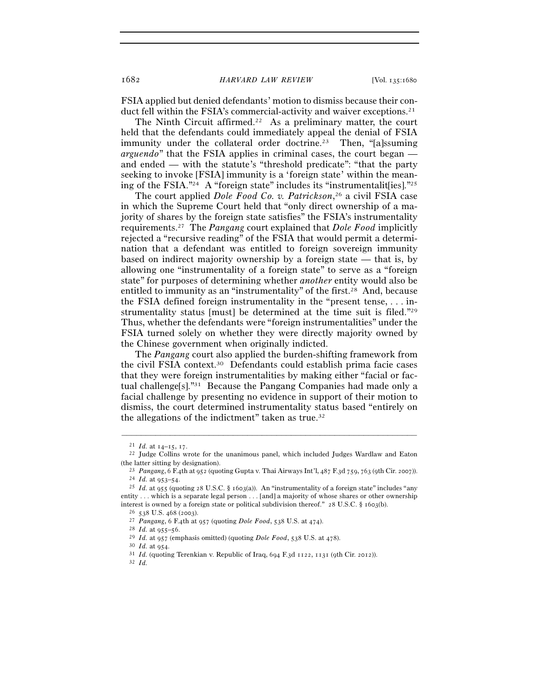FSIA applied but denied defendants' motion to dismiss because their conduct fell within the FSIA's commercial-activity and waiver exceptions.21

The Ninth Circuit affirmed.<sup>22</sup> As a preliminary matter, the court held that the defendants could immediately appeal the denial of FSIA immunity under the collateral order doctrine.<sup>23</sup> Then, "[a]ssuming *arguendo*" that the FSIA applies in criminal cases, the court began and ended — with the statute's "threshold predicate": "that the party seeking to invoke [FSIA] immunity is a 'foreign state' within the meaning of the FSIA."<sup>24</sup> A "foreign state" includes its "instrumentalities]."<sup>25</sup>

The court applied *Dole Food Co. v. Patrickson*, 26 a civil FSIA case in which the Supreme Court held that "only direct ownership of a majority of shares by the foreign state satisfies" the FSIA's instrumentality requirements.27 The *Pangang* court explained that *Dole Food* implicitly rejected a "recursive reading" of the FSIA that would permit a determination that a defendant was entitled to foreign sovereign immunity based on indirect majority ownership by a foreign state — that is, by allowing one "instrumentality of a foreign state" to serve as a "foreign state" for purposes of determining whether *another* entity would also be entitled to immunity as an "instrumentality" of the first.<sup>28</sup> And, because the FSIA defined foreign instrumentality in the "present tense, . . . instrumentality status [must] be determined at the time suit is filed."29 Thus, whether the defendants were "foreign instrumentalities" under the FSIA turned solely on whether they were directly majority owned by the Chinese government when originally indicted.

The *Pangang* court also applied the burden-shifting framework from the civil FSIA context.30 Defendants could establish prima facie cases that they were foreign instrumentalities by making either "facial or factual challenge[s]."31 Because the Pangang Companies had made only a facial challenge by presenting no evidence in support of their motion to dismiss, the court determined instrumentality status based "entirely on the allegations of the indictment" taken as true.32

 $^{21}$   $Id.$  at 14–15, 17.  $^{22}$  Judge Collins wrote for the unanimous panel, which included Judges Wardlaw and Eaton

<sup>(</sup>the latter sitting by designation).<br>
<sup>23</sup> *Pangang*, 6 F.4th at 952 (quoting Gupta v. Thai Airways Int'l, 487 F.3d 759, 763 (9th Cir. 2007)).<br>
<sup>24</sup> *Id.* at 953–54.<br>
<sup>25</sup> *Id.* at 955 (quoting 28 U.S.C. § 1603(a)). An "i

entity . . . which is a separate legal person . . . [and] a majority of whose shares or other ownership interest is owned by a foreign state or political subdivision thereof." 28 U.S.C. § 1603(b).<br>
<sup>26</sup> 538 U.S. 468 (2003).<br>
<sup>27</sup> *Pangang*, 6 F.4th at 957 (quoting *Dole Food*, 538 U.S. at 474).<br>
<sup>28</sup> *Id.* at 955–56.<br>
<sup>29</sup>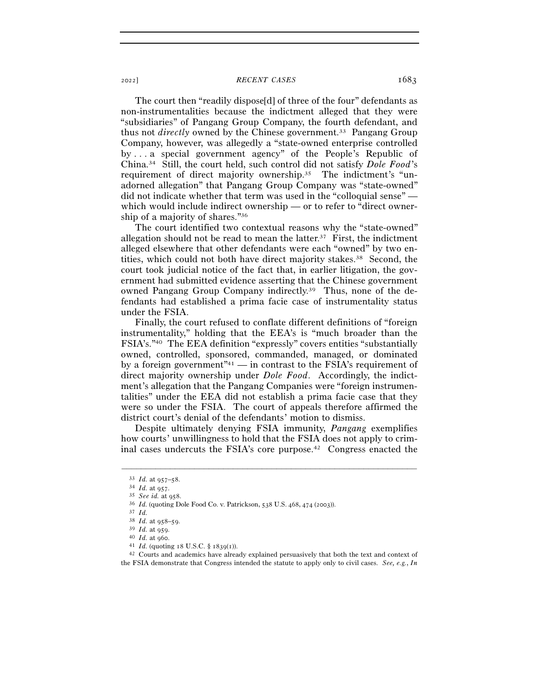The court then "readily dispose[d] of three of the four" defendants as non-instrumentalities because the indictment alleged that they were "subsidiaries" of Pangang Group Company, the fourth defendant, and thus not *directly* owned by the Chinese government.33 Pangang Group Company, however, was allegedly a "state-owned enterprise controlled by . . . a special government agency" of the People's Republic of China.34 Still, the court held, such control did not satisfy *Dole Food*'s requirement of direct majority ownership.35 The indictment's "unadorned allegation" that Pangang Group Company was "state-owned" did not indicate whether that term was used in the "colloquial sense" which would include indirect ownership — or to refer to "direct ownership of a majority of shares."36

The court identified two contextual reasons why the "state-owned" allegation should not be read to mean the latter.<sup>37</sup> First, the indictment alleged elsewhere that other defendants were each "owned" by two entities, which could not both have direct majority stakes.38 Second, the court took judicial notice of the fact that, in earlier litigation, the government had submitted evidence asserting that the Chinese government owned Pangang Group Company indirectly.39 Thus, none of the defendants had established a prima facie case of instrumentality status under the FSIA.

Finally, the court refused to conflate different definitions of "foreign instrumentality," holding that the EEA's is "much broader than the FSIA's."40 The EEA definition "expressly" covers entities "substantially owned, controlled, sponsored, commanded, managed, or dominated by a foreign government<sup> $n_{41}$ </sup> — in contrast to the FSIA's requirement of direct majority ownership under *Dole Food*. Accordingly, the indictment's allegation that the Pangang Companies were "foreign instrumentalities" under the EEA did not establish a prima facie case that they were so under the FSIA. The court of appeals therefore affirmed the district court's denial of the defendants' motion to dismiss.

Despite ultimately denying FSIA immunity, *Pangang* exemplifies how courts' unwillingness to hold that the FSIA does not apply to criminal cases undercuts the FSIA's core purpose.42 Congress enacted the

<sup>33</sup> *Id.* at 957–<sup>58</sup>. 34 *Id.* at <sup>957</sup>. 35 *See id.* at <sup>958</sup>. 36 *Id.* (quoting Dole Food Co. v. Patrickson, 538 U.S. 468, 474 (<sup>2003</sup>)). 37 *Id.*

<sup>38</sup> *Id.* at 958–<sup>59</sup>. 39 *Id.* at <sup>959</sup>. 40 *Id.* at <sup>960</sup>. 41 *Id.* (quoting 18 U.S.C. § <sup>1839</sup>(<sup>1</sup>)). 42 Courts and academics have already explained persuasively that both the text and context of the FSIA demonstrate that Congress intended the statute to apply only to civil cases. *See, e.g.*, *In*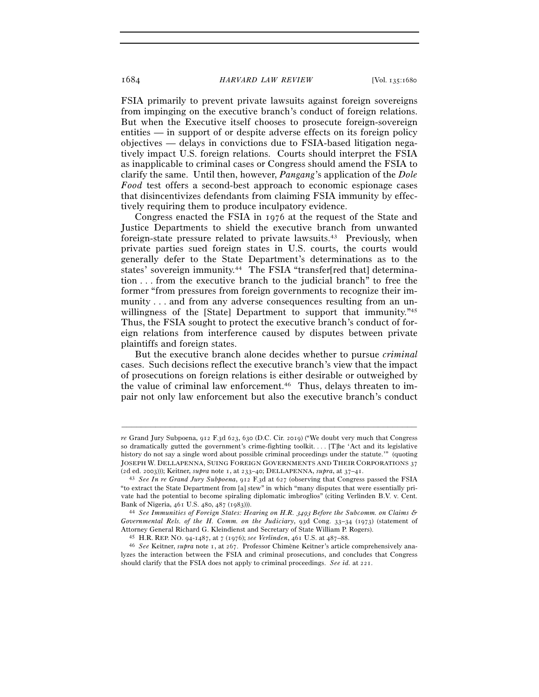## 1684 *HARVARD LAW REVIEW* [Vol. 135:<sup>1680</sup>

FSIA primarily to prevent private lawsuits against foreign sovereigns from impinging on the executive branch's conduct of foreign relations. But when the Executive itself chooses to prosecute foreign-sovereign entities — in support of or despite adverse effects on its foreign policy objectives — delays in convictions due to FSIA-based litigation negatively impact U.S. foreign relations. Courts should interpret the FSIA as inapplicable to criminal cases or Congress should amend the FSIA to clarify the same. Until then, however, *Pangang*'s application of the *Dole Food* test offers a second-best approach to economic espionage cases that disincentivizes defendants from claiming FSIA immunity by effectively requiring them to produce inculpatory evidence.

Congress enacted the FSIA in 1976 at the request of the State and Justice Departments to shield the executive branch from unwanted foreign-state pressure related to private lawsuits.43 Previously, when private parties sued foreign states in U.S. courts, the courts would generally defer to the State Department's determinations as to the states' sovereign immunity.44 The FSIA "transfer[red that] determination . . . from the executive branch to the judicial branch" to free the former "from pressures from foreign governments to recognize their immunity . . . and from any adverse consequences resulting from an unwillingness of the [State] Department to support that immunity."<sup>45</sup> Thus, the FSIA sought to protect the executive branch's conduct of foreign relations from interference caused by disputes between private plaintiffs and foreign states.

But the executive branch alone decides whether to pursue *criminal* cases. Such decisions reflect the executive branch's view that the impact of prosecutions on foreign relations is either desirable or outweighed by the value of criminal law enforcement.46 Thus, delays threaten to impair not only law enforcement but also the executive branch's conduct

*re* Grand Jury Subpoena, 912 F.3d 623, 630 (D.C. Cir. 2019) ("We doubt very much that Congress so dramatically gutted the government's crime-fighting toolkit. . . . [T]he 'Act and its legislative history do not say a single word about possible criminal proceedings under the statute.'" (quoting JOSEPH W. DELLAPENNA, SUING FOREIGN GOVERNMENTS AND THEIR CORPORATIONS 37 (2d ed. 2003))); Keitner, *supra* note 1, at 233–40; DELLAPENNA, *supra*, at 37–<sup>41</sup>. 43 *See In re Grand Jury Subpoena*, 912 F.3d at 627 (observing that Congress passed the FSIA

<sup>&</sup>quot;to extract the State Department from [a] stew" in which "many disputes that were essentially private had the potential to become spiraling diplomatic imbroglios" (citing Verlinden B.V. v. Cent.

Bank of Nigeria, 461 U.S. 480, 487 (<sup>1983</sup>))). 44 *See Immunities of Foreign States: Hearing on H.R.* 3493 *Before the Subcomm. on Claims & Governmental Rels. of the H. Comm. on the Judiciary*, 93d Cong. 33–34 (1973) (statement of Attorney General Richard G. Kleindienst and Secretary of State William P. Rogers).<br><sup>45</sup> H.R. REP. NO. 94-1487, at 7 (1976); *see Verlinden*, 461 U.S. at 487–88.<br><sup>46</sup> See Keitner, *supra* note 1, at 267. Professor Chimène K

lyzes the interaction between the FSIA and criminal prosecutions, and concludes that Congress should clarify that the FSIA does not apply to criminal proceedings. *See id.* at 221.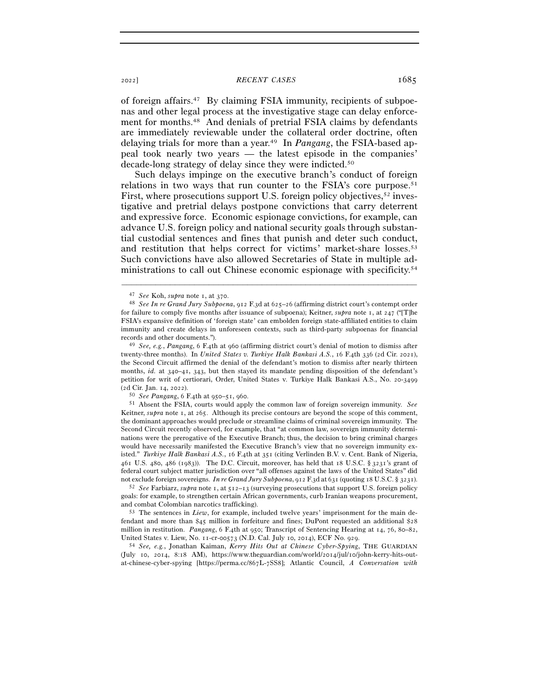of foreign affairs.47 By claiming FSIA immunity, recipients of subpoenas and other legal process at the investigative stage can delay enforcement for months.48 And denials of pretrial FSIA claims by defendants are immediately reviewable under the collateral order doctrine, often delaying trials for more than a year.49 In *Pangang*, the FSIA-based appeal took nearly two years — the latest episode in the companies' decade-long strategy of delay since they were indicted.50

Such delays impinge on the executive branch's conduct of foreign relations in two ways that run counter to the FSIA's core purpose.51 First, where prosecutions support U.S. foreign policy objectives,<sup>52</sup> investigative and pretrial delays postpone convictions that carry deterrent and expressive force. Economic espionage convictions, for example, can advance U.S. foreign policy and national security goals through substantial custodial sentences and fines that punish and deter such conduct, and restitution that helps correct for victims' market-share losses.53 Such convictions have also allowed Secretaries of State in multiple administrations to call out Chinese economic espionage with specificity.<sup>54</sup>

–––––––––––––––––––––––––––––––––––––––––––––––––––––––––––––

Keitner, *supra* note 1, at 265. Although its precise contours are beyond the scope of this comment, the dominant approaches would preclude or streamline claims of criminal sovereign immunity. The Second Circuit recently observed, for example, that "at common law, sovereign immunity determinations were the prerogative of the Executive Branch; thus, the decision to bring criminal charges would have necessarily manifested the Executive Branch's view that no sovereign immunity existed." *Turkiye Halk Bankasi A.S.*, 16 F.4th at 351 (citing Verlinden B.V. v. Cent. Bank of Nigeria, 461 U.S. 480, 486 (1983)). The D.C. Circuit, moreover, has held that 18 U.S.C. § 3231's grant of federal court subject matter jurisdiction over "all offenses against the laws of the United States" did not exclude foreign sovereigns. *In re Grand Jury Subpoena*, 912 F.3d at 631 (quoting 18 U.S.C. § <sup>3231</sup>). 52 *See* Farbiarz, *supra* note 1, at 512–13 (surveying prosecutions that support U.S. foreign policy

goals: for example, to strengthen certain African governments, curb Iranian weapons procurement, and combat Colombian narcotics trafficking).<br><sup>53</sup> The sentences in *Liew*, for example, included twelve years' imprisonment for the main de-

fendant and more than \$45 million in forfeiture and fines; DuPont requested an additional \$28 million in restitution. *Pangang*, 6 F.4th at 950; Transcript of Sentencing Hearing at 14, 76, 80–82,

United States v. Liew, No. 11-cr-00573 (N.D. Cal. July 10, 2014), ECF No. <sup>929</sup>. 54 *See, e.g.*, Jonathan Kaiman, *Kerry Hits Out at Chinese Cyber-Spying*, THE GUARDIAN (July 10, 2014, 8:18 AM), https://www.theguardian.com/world/2014/jul/10/john-kerry-hits-outat-chinese-cyber-spying [https://perma.cc/867L-7SS8]; Atlantic Council, *A Conversation with* 

<sup>47</sup> *See* Koh, *supra* note 1, at <sup>370</sup>. 48 *See In re Grand Jury Subpoena*, 912 F.3d at 625–26 (affirming district court's contempt order for failure to comply five months after issuance of subpoena); Keitner, *supra* note 1, at 247 ("[T]he FSIA's expansive definition of 'foreign state' can embolden foreign state-affiliated entities to claim immunity and create delays in unforeseen contexts, such as third-party subpoenas for financial records and other documents."). 49 *See, e.g.*, *Pangang*, 6 F.4th at 960 (affirming district court's denial of motion to dismiss after

twenty-three months). In *United States v. Turkiye Halk Bankasi A.S.*, 16 F.4th 336 (2d Cir. 2021), the Second Circuit affirmed the denial of the defendant's motion to dismiss after nearly thirteen months, *id.* at 340–41, 343, but then stayed its mandate pending disposition of the defendant's petition for writ of certiorari, Order, United States v. Turkiye Halk Bankasi A.S., No. 20-3499 (2d Cir. Jan. 14, <sup>2022</sup>). 50 *See Pangang*, 6 F.4th at 950–51, <sup>960</sup>. 51 Absent the FSIA, courts would apply the common law of foreign sovereign immunity. *See*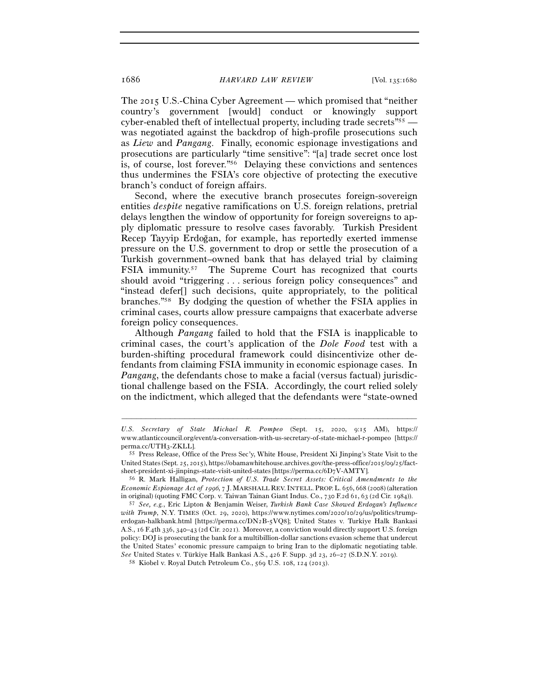The 2015 U.S.-China Cyber Agreement — which promised that "neither country's government [would] conduct or knowingly support cyber-enabled theft of intellectual property, including trade secrets"55 was negotiated against the backdrop of high-profile prosecutions such as *Liew* and *Pangang*. Finally, economic espionage investigations and prosecutions are particularly "time sensitive": "[a] trade secret once lost is, of course, lost forever."56 Delaying these convictions and sentences thus undermines the FSIA's core objective of protecting the executive branch's conduct of foreign affairs.

Second, where the executive branch prosecutes foreign-sovereign entities *despite* negative ramifications on U.S. foreign relations, pretrial delays lengthen the window of opportunity for foreign sovereigns to apply diplomatic pressure to resolve cases favorably. Turkish President Recep Tayyip Erdoğan, for example, has reportedly exerted immense pressure on the U.S. government to drop or settle the prosecution of a Turkish government–owned bank that has delayed trial by claiming FSIA immunity.57 The Supreme Court has recognized that courts should avoid "triggering . . . serious foreign policy consequences" and "instead defer[] such decisions, quite appropriately, to the political branches."58 By dodging the question of whether the FSIA applies in criminal cases, courts allow pressure campaigns that exacerbate adverse foreign policy consequences.

Although *Pangang* failed to hold that the FSIA is inapplicable to criminal cases, the court's application of the *Dole Food* test with a burden-shifting procedural framework could disincentivize other defendants from claiming FSIA immunity in economic espionage cases. In *Pangang*, the defendants chose to make a facial (versus factual) jurisdictional challenge based on the FSIA. Accordingly, the court relied solely on the indictment, which alleged that the defendants were "state-owned

*U.S. Secretary of State Michael R. Pompeo* (Sept. 15, 2020, 9:15 AM), https:// www.atlanticcouncil.org/event/a-conversation-with-us-secretary-of-state-michael-r-pompeo [https:// perma.cc/UTH<sup>3</sup>-ZKLL]. 55 Press Release, Office of the Press Sec'y, White House, President Xi Jinping's State Visit to the

United States (Sept. 25, 2015), https://obamawhitehouse.archives.gov/the-press-office/2015/09/25/factsheet-president-xi-jinpings-state-visit-united-states [https://perma.cc/6D<sup>7</sup>V-AMTY]. 56 R. Mark Halligan, *Protection of U.S. Trade Secret Assets: Critical Amendments to the* 

*Economic Espionage Act of* 1996, 7 J.MARSHALL REV.INTELL. PROP.L. 656, 668 (2008) (alteration in original) (quoting FMC Corp. v. Taiwan Tainan Giant Indus. Co., 730 F.2d 61, 63 (2d Cir. <sup>1984</sup>)). 57 *See, e.g.*, Eric Lipton & Benjamin Weiser, *Turkish Bank Case Showed Erdogan's Influence* 

*with Trump*, N.Y. TIMES (Oct. 29, 2020), https://www.nytimes.com/2020/10/29/us/politics/trumperdogan-halkbank.html [https://perma.cc/DN2B-5VQ8]; United States v. Turkiye Halk Bankasi A.S., 16 F.4th 336, 340–43 (2d Cir. 2021). Moreover, a conviction would directly support U.S. foreign policy: DOJ is prosecuting the bank for a multibillion-dollar sanctions evasion scheme that undercut the United States' economic pressure campaign to bring Iran to the diplomatic negotiating table. *See* United States v. Türkiye Halk Bankasi A.S., 426 F. Supp. 3d 23, 26–27 (S.D.N.Y. <sup>2019</sup>). 58 Kiobel v. Royal Dutch Petroleum Co., 569 U.S. 108, 124 (2013).